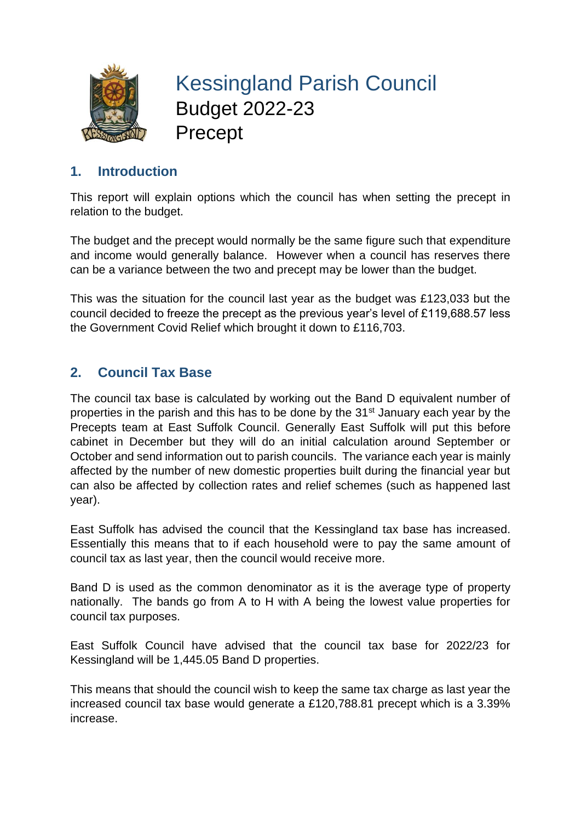

Kessingland Parish Council Budget 2022-23 Precept

# **1. Introduction**

This report will explain options which the council has when setting the precept in relation to the budget.

The budget and the precept would normally be the same figure such that expenditure and income would generally balance. However when a council has reserves there can be a variance between the two and precept may be lower than the budget.

This was the situation for the council last year as the budget was £123,033 but the council decided to freeze the precept as the previous year's level of £119,688.57 less the Government Covid Relief which brought it down to £116,703.

### **2. Council Tax Base**

The council tax base is calculated by working out the Band D equivalent number of properties in the parish and this has to be done by the 31st January each year by the Precepts team at East Suffolk Council. Generally East Suffolk will put this before cabinet in December but they will do an initial calculation around September or October and send information out to parish councils. The variance each year is mainly affected by the number of new domestic properties built during the financial year but can also be affected by collection rates and relief schemes (such as happened last year).

East Suffolk has advised the council that the Kessingland tax base has increased. Essentially this means that to if each household were to pay the same amount of council tax as last year, then the council would receive more.

Band D is used as the common denominator as it is the average type of property nationally. The bands go from A to H with A being the lowest value properties for council tax purposes.

East Suffolk Council have advised that the council tax base for 2022/23 for Kessingland will be 1,445.05 Band D properties.

This means that should the council wish to keep the same tax charge as last year the increased council tax base would generate a £120,788.81 precept which is a 3.39% increase.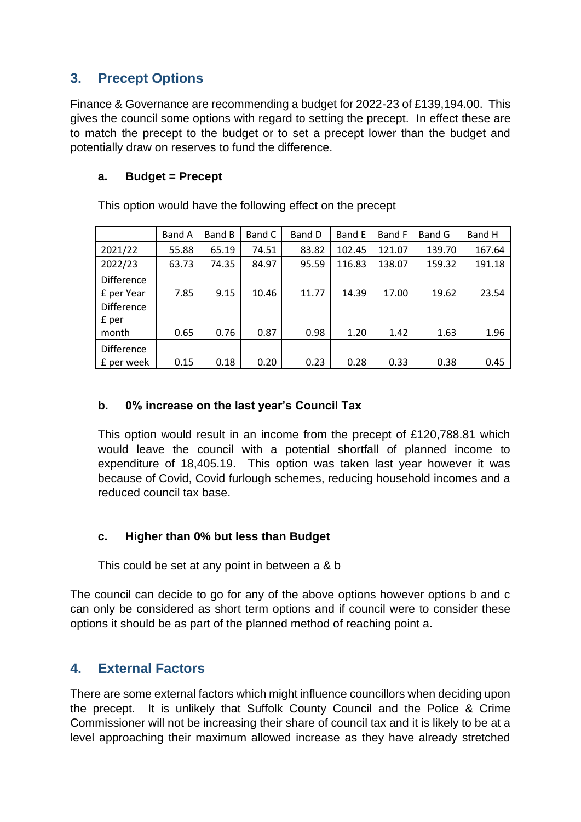# **3. Precept Options**

Finance & Governance are recommending a budget for 2022-23 of £139,194.00. This gives the council some options with regard to setting the precept. In effect these are to match the precept to the budget or to set a precept lower than the budget and potentially draw on reserves to fund the difference.

#### **a. Budget = Precept**

This option would have the following effect on the precept

|                                 | Band A | Band B | Band C | Band D | Band E | Band F | Band G | Band H |
|---------------------------------|--------|--------|--------|--------|--------|--------|--------|--------|
| 2021/22                         | 55.88  | 65.19  | 74.51  | 83.82  | 102.45 | 121.07 | 139.70 | 167.64 |
| 2022/23                         | 63.73  | 74.35  | 84.97  | 95.59  | 116.83 | 138.07 | 159.32 | 191.18 |
| <b>Difference</b><br>f per Year | 7.85   | 9.15   | 10.46  | 11.77  | 14.39  | 17.00  | 19.62  | 23.54  |
| Difference<br>£ per             |        |        |        |        |        |        |        |        |
| month                           | 0.65   | 0.76   | 0.87   | 0.98   | 1.20   | 1.42   | 1.63   | 1.96   |
| Difference<br>f per week        | 0.15   | 0.18   | 0.20   | 0.23   | 0.28   | 0.33   | 0.38   | 0.45   |

#### **b. 0% increase on the last year's Council Tax**

This option would result in an income from the precept of £120,788.81 which would leave the council with a potential shortfall of planned income to expenditure of 18,405.19. This option was taken last year however it was because of Covid, Covid furlough schemes, reducing household incomes and a reduced council tax base.

#### **c. Higher than 0% but less than Budget**

This could be set at any point in between a & b

The council can decide to go for any of the above options however options b and c can only be considered as short term options and if council were to consider these options it should be as part of the planned method of reaching point a.

### **4. External Factors**

There are some external factors which might influence councillors when deciding upon the precept. It is unlikely that Suffolk County Council and the Police & Crime Commissioner will not be increasing their share of council tax and it is likely to be at a level approaching their maximum allowed increase as they have already stretched